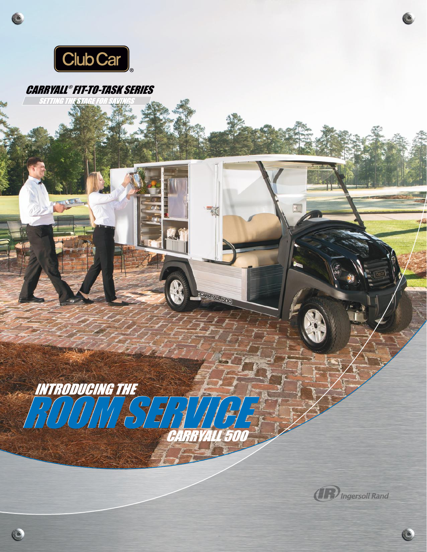

Ć

## CARRYALL ® FIT-TO-TASK SERIES **SETTING THE STAGE FOR SAVIL**



ROOM SERVICE INTRODUCING THE

CARRYALL 50